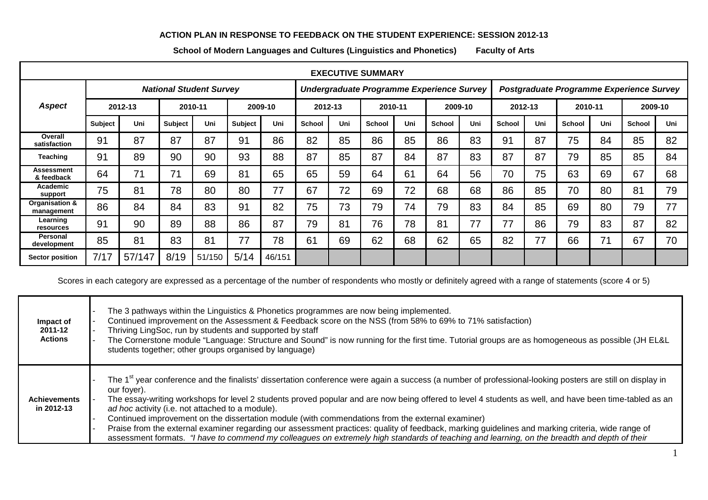## **ACTION PLAN IN RESPONSE TO FEEDBACK ON THE STUDENT EXPERIENCE: SESSION 2012-13**

**School of Modern Languages and Cultures (Linguistics and Phonetics) Faculty of Arts**

| <b>EXECUTIVE SUMMARY</b>     |                                |        |                |        |                |                                           |               |     |               |     |                                          |     |               |     |               |     |               |     |
|------------------------------|--------------------------------|--------|----------------|--------|----------------|-------------------------------------------|---------------|-----|---------------|-----|------------------------------------------|-----|---------------|-----|---------------|-----|---------------|-----|
|                              | <b>National Student Survey</b> |        |                |        |                | Undergraduate Programme Experience Survey |               |     |               |     | Postgraduate Programme Experience Survey |     |               |     |               |     |               |     |
| <b>Aspect</b>                | 2012-13                        |        | 2010-11        |        | 2009-10        |                                           | 2012-13       |     | 2010-11       |     | 2009-10                                  |     | 2012-13       |     | 2010-11       |     | 2009-10       |     |
|                              | <b>Subject</b>                 | Uni    | <b>Subject</b> | Uni    | <b>Subject</b> | Uni                                       | <b>School</b> | Uni | <b>School</b> | Uni | <b>School</b>                            | Uni | <b>School</b> | Uni | <b>School</b> | Uni | <b>School</b> | Uni |
| Overall<br>satisfaction      | 91                             | 87     | 87             | 87     | 91             | 86                                        | 82            | 85  | 86            | 85  | 86                                       | 83  | 91            | 87  | 75            | 84  | 85            | 82  |
| Teaching                     | 91                             | 89     | 90             | 90     | 93             | 88                                        | 87            | 85  | 87            | 84  | 87                                       | 83  | 87            | 87  | 79            | 85  | 85            | 84  |
| Assessment<br>& feedback     | 64                             | 71     | 71             | 69     | 81             | 65                                        | 65            | 59  | 64            | 61  | 64                                       | 56  | 70            | 75  | 63            | 69  | 67            | 68  |
| Academic<br>support          | 75                             | 81     | 78             | 80     | 80             | 77                                        | 67            | 72  | 69            | 72  | 68                                       | 68  | 86            | 85  | 70            | 80  | 81            | 79  |
| Organisation &<br>management | 86                             | 84     | 84             | 83     | 91             | 82                                        | 75            | 73  | 79            | 74  | 79                                       | 83  | 84            | 85  | 69            | 80  | 79            | 77  |
| Learning<br>resources        | 91                             | 90     | 89             | 88     | 86             | 87                                        | 79            | 81  | 76            | 78  | 81                                       | 77  | 77            | 86  | 79            | 83  | 87            | 82  |
| Personal<br>development      | 85                             | 81     | 83             | 81     | 77             | 78                                        | 61            | 69  | 62            | 68  | 62                                       | 65  | 82            | 77  | 66            | 71  | 67            | 70  |
| <b>Sector position</b>       | 7/17                           | 57/147 | 8/19           | 51/150 | 5/14           | 46/151                                    |               |     |               |     |                                          |     |               |     |               |     |               |     |

Scores in each category are expressed as a percentage of the number of respondents who mostly or definitely agreed with a range of statements (score 4 or 5)

| Impact of<br>2011-12<br><b>Actions</b> | The 3 pathways within the Linguistics & Phonetics programmes are now being implemented.<br>Continued improvement on the Assessment & Feedback score on the NSS (from 58% to 69% to 71% satisfaction)<br>Thriving LingSoc, run by students and supported by staff<br>The Cornerstone module "Language: Structure and Sound" is now running for the first time. Tutorial groups are as homogeneous as possible (JH EL&L<br>students together; other groups organised by language)                                                                                                                                                                                                                                                                                                                             |
|----------------------------------------|-------------------------------------------------------------------------------------------------------------------------------------------------------------------------------------------------------------------------------------------------------------------------------------------------------------------------------------------------------------------------------------------------------------------------------------------------------------------------------------------------------------------------------------------------------------------------------------------------------------------------------------------------------------------------------------------------------------------------------------------------------------------------------------------------------------|
| <b>Achievements</b><br>in 2012-13      | The 1 <sup>st</sup> year conference and the finalists' dissertation conference were again a success (a number of professional-looking posters are still on display in<br>our fover).<br>The essay-writing workshops for level 2 students proved popular and are now being offered to level 4 students as well, and have been time-tabled as an<br>ad hoc activity (i.e. not attached to a module).<br>Continued improvement on the dissertation module (with commendations from the external examiner)<br>Praise from the external examiner regarding our assessment practices: quality of feedback, marking guidelines and marking criteria, wide range of<br>assessment formats. "I have to commend my colleagues on extremely high standards of teaching and learning, on the breadth and depth of their |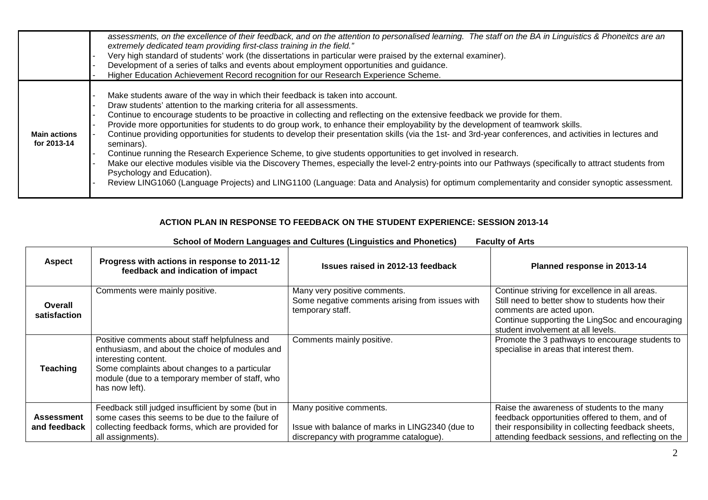|                                    | assessments, on the excellence of their feedback, and on the attention to personalised learning. The staff on the BA in Linguistics & Phoneitcs are an<br>extremely dedicated team providing first-class training in the field."<br>Very high standard of students' work (the dissertations in particular were praised by the external examiner).<br>Development of a series of talks and events about employment opportunities and guidance.<br>Higher Education Achievement Record recognition for our Research Experience Scheme.                                                                                                                                                                                                                                                                                                                                                                                                                                                                                                                         |
|------------------------------------|--------------------------------------------------------------------------------------------------------------------------------------------------------------------------------------------------------------------------------------------------------------------------------------------------------------------------------------------------------------------------------------------------------------------------------------------------------------------------------------------------------------------------------------------------------------------------------------------------------------------------------------------------------------------------------------------------------------------------------------------------------------------------------------------------------------------------------------------------------------------------------------------------------------------------------------------------------------------------------------------------------------------------------------------------------------|
| <b>Main actions</b><br>for 2013-14 | Make students aware of the way in which their feedback is taken into account.<br>Draw students' attention to the marking criteria for all assessments.<br>Continue to encourage students to be proactive in collecting and reflecting on the extensive feedback we provide for them.<br>Provide more opportunities for students to do group work, to enhance their employability by the development of teamwork skills.<br>Continue providing opportunities for students to develop their presentation skills (via the 1st- and 3rd-year conferences, and activities in lectures and<br>seminars).<br>Continue running the Research Experience Scheme, to give students opportunities to get involved in research.<br>Make our elective modules visible via the Discovery Themes, especially the level-2 entry-points into our Pathways (specifically to attract students from<br>Psychology and Education).<br>Review LING1060 (Language Projects) and LING1100 (Language: Data and Analysis) for optimum complementarity and consider synoptic assessment. |

## **ACTION PLAN IN RESPONSE TO FEEDBACK ON THE STUDENT EXPERIENCE: SESSION 2013-14**

| <b>Aspect</b>                     | Progress with actions in response to 2011-12<br>feedback and indication of impact                                                                                                                                                              | Issues raised in 2012-13 feedback                                                                                    | Planned response in 2013-14                                                                                                                                                                                            |
|-----------------------------------|------------------------------------------------------------------------------------------------------------------------------------------------------------------------------------------------------------------------------------------------|----------------------------------------------------------------------------------------------------------------------|------------------------------------------------------------------------------------------------------------------------------------------------------------------------------------------------------------------------|
| Overall<br>satisfaction           | Comments were mainly positive.                                                                                                                                                                                                                 | Many very positive comments.<br>Some negative comments arising from issues with<br>temporary staff.                  | Continue striving for excellence in all areas.<br>Still need to better show to students how their<br>comments are acted upon.<br>Continue supporting the LingSoc and encouraging<br>student involvement at all levels. |
| Teaching                          | Positive comments about staff helpfulness and<br>enthusiasm, and about the choice of modules and<br>interesting content.<br>Some complaints about changes to a particular<br>module (due to a temporary member of staff, who<br>has now left). | Comments mainly positive.                                                                                            | Promote the 3 pathways to encourage students to<br>specialise in areas that interest them.                                                                                                                             |
| <b>Assessment</b><br>and feedback | Feedback still judged insufficient by some (but in<br>some cases this seems to be due to the failure of<br>collecting feedback forms, which are provided for<br>all assignments).                                                              | Many positive comments.<br>Issue with balance of marks in LING2340 (due to<br>discrepancy with programme catalogue). | Raise the awareness of students to the many<br>feedback opportunities offered to them, and of<br>their responsibility in collecting feedback sheets,<br>attending feedback sessions, and reflecting on the             |

## **School of Modern Languages and Cultures (Linguistics and Phonetics) Faculty of Arts**